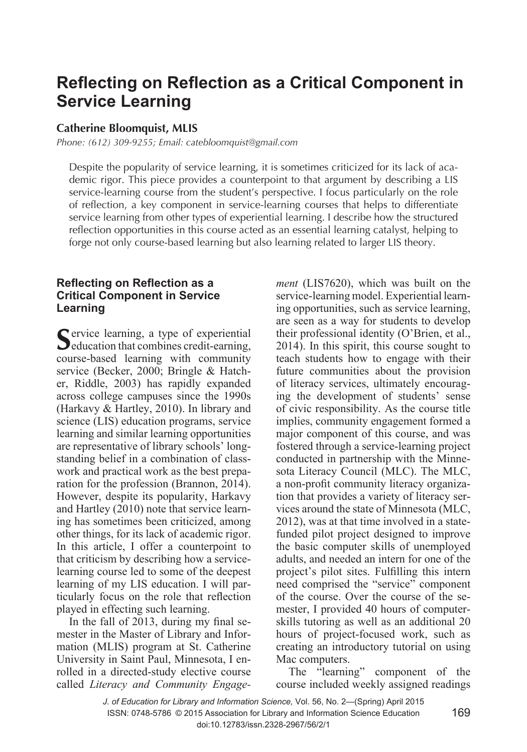# **Reflecting on Reflection as a Critical Component in Service Learning**

## **Catherine Bloomquist, MLIS**

*Phone: (612) 309-9255; Email: catebloomquist@gmail.com*

Despite the popularity of service learning, it is sometimes criticized for its lack of academic rigor. This piece provides a counterpoint to that argument by describing a LIS service-learning course from the student's perspective. I focus particularly on the role of reflection, a key component in service-learning courses that helps to differentiate service learning from other types of experiential learning. I describe how the structured reflection opportunities in this course acted as an essential learning catalyst, helping to forge not only course-based learning but also learning related to larger LIS theory.

## **Reflecting on Reflection as a Critical Component in Service Learning**

Service learning, a type of experiential education that combines credit-earning, course-based learning with community service (Becker, 2000; Bringle & Hatcher, Riddle, 2003) has rapidly expanded across college campuses since the 1990s (Harkavy & Hartley, 2010). In library and science (LIS) education programs, service learning and similar learning opportunities are representative of library schools' longstanding belief in a combination of classwork and practical work as the best preparation for the profession (Brannon, 2014). However, despite its popularity, Harkavy and Hartley (2010) note that service learning has sometimes been criticized, among other things, for its lack of academic rigor. In this article, I offer a counterpoint to that criticism by describing how a servicelearning course led to some of the deepest learning of my LIS education. I will particularly focus on the role that reflection played in effecting such learning.

In the fall of 2013, during my final semester in the Master of Library and Information (MLIS) program at St. Catherine University in Saint Paul, Minnesota, I enrolled in a directed-study elective course called *Literacy and Community Engage-* *ment* (LIS7620), which was built on the service-learning model. Experiential learning opportunities, such as service learning, are seen as a way for students to develop their professional identity (O'Brien, et al., 2014). In this spirit, this course sought to teach students how to engage with their future communities about the provision of literacy services, ultimately encouraging the development of students' sense of civic responsibility. As the course title implies, community engagement formed a major component of this course, and was fostered through a service-learning project conducted in partnership with the Minnesota Literacy Council (MLC). The MLC, a non-profit community literacy organization that provides a variety of literacy services around the state of Minnesota (MLC, 2012), was at that time involved in a statefunded pilot project designed to improve the basic computer skills of unemployed adults, and needed an intern for one of the project's pilot sites. Fulfilling this intern need comprised the "service" component of the course. Over the course of the semester, I provided 40 hours of computerskills tutoring as well as an additional 20 hours of project-focused work, such as creating an introductory tutorial on using Mac computers.

The "learning" component of the course included weekly assigned readings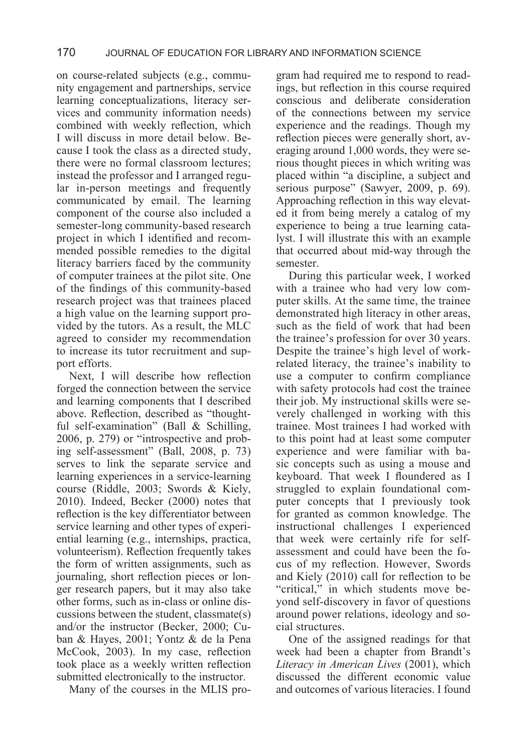on course-related subjects (e.g., community engagement and partnerships, service learning conceptualizations, literacy services and community information needs) combined with weekly reflection, which I will discuss in more detail below. Because I took the class as a directed study, there were no formal classroom lectures; instead the professor and I arranged regular in-person meetings and frequently communicated by email. The learning component of the course also included a semester-long community-based research project in which I identified and recommended possible remedies to the digital literacy barriers faced by the community of computer trainees at the pilot site. One of the findings of this community-based research project was that trainees placed a high value on the learning support provided by the tutors. As a result, the MLC agreed to consider my recommendation to increase its tutor recruitment and support efforts.

Next, I will describe how reflection forged the connection between the service and learning components that I described above. Reflection, described as "thoughtful self-examination" (Ball & Schilling, 2006, p. 279) or "introspective and probing self-assessment" (Ball, 2008, p. 73) serves to link the separate service and learning experiences in a service-learning course (Riddle, 2003; Swords & Kiely, 2010). Indeed, Becker (2000) notes that reflection is the key differentiator between service learning and other types of experiential learning (e.g., internships, practica, volunteerism). Reflection frequently takes the form of written assignments, such as journaling, short reflection pieces or longer research papers, but it may also take other forms, such as in-class or online discussions between the student, classmate(s) and/or the instructor (Becker, 2000; Cuban & Hayes, 2001; Yontz & de la Pena McCook, 2003). In my case, reflection took place as a weekly written reflection submitted electronically to the instructor.

Many of the courses in the MLIS pro-

gram had required me to respond to readings, but reflection in this course required conscious and deliberate consideration of the connections between my service experience and the readings. Though my reflection pieces were generally short, averaging around 1,000 words, they were serious thought pieces in which writing was placed within "a discipline, a subject and serious purpose" (Sawyer, 2009, p. 69). Approaching reflection in this way elevated it from being merely a catalog of my experience to being a true learning catalyst. I will illustrate this with an example that occurred about mid-way through the semester.

During this particular week, I worked with a trainee who had very low computer skills. At the same time, the trainee demonstrated high literacy in other areas, such as the field of work that had been the trainee's profession for over 30 years. Despite the trainee's high level of workrelated literacy, the trainee's inability to use a computer to confirm compliance with safety protocols had cost the trainee their job. My instructional skills were severely challenged in working with this trainee. Most trainees I had worked with to this point had at least some computer experience and were familiar with basic concepts such as using a mouse and keyboard. That week I floundered as I struggled to explain foundational computer concepts that I previously took for granted as common knowledge. The instructional challenges I experienced that week were certainly rife for selfassessment and could have been the focus of my reflection. However, Swords and Kiely (2010) call for reflection to be "critical," in which students move beyond self-discovery in favor of questions around power relations, ideology and social structures.

One of the assigned readings for that week had been a chapter from Brandt's *Literacy in American Lives* (2001), which discussed the different economic value and outcomes of various literacies. I found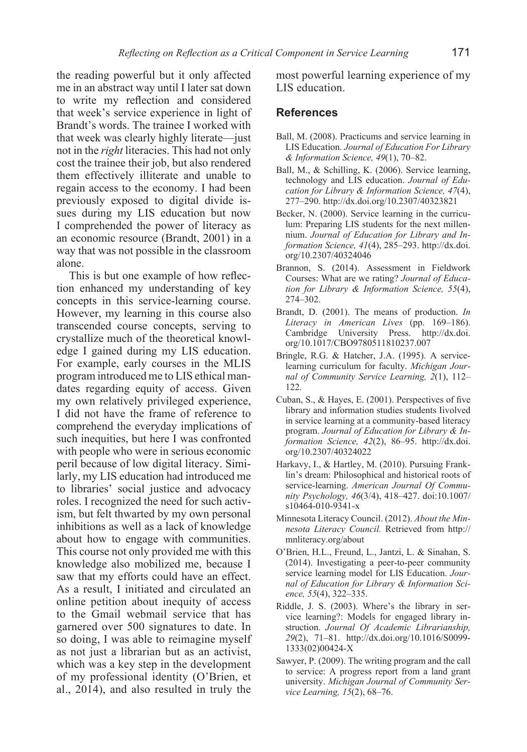the reading powerful but it only affected me in an abstract way until I later sat down to write my reflection and considered that week's service experience in light of Brandt's words. The trainee I worked with that week was clearly highly literate—just not in the *right* literacies. This had not only cost the trainee their job, but also rendered them effectively illiterate and unable to regain access to the economy. I had been previously exposed to digital divide issues during my LIS education but now I comprehended the power of literacy as an economic resource (Brandt, 2001) in a way that was not possible in the classroom alone.

This is but one example of how reflection enhanced my understanding of key concepts in this service-learning course. However, my learning in this course also transcended course concepts, serving to crystallize much of the theoretical knowledge I gained during my LIS education. For example, early courses in the MLIS program introduced me to LIS ethical mandates regarding equity of access. Given my own relatively privileged experience, I did not have the frame of reference to comprehend the everyday implications of such inequities, but here I was confronted with people who were in serious economic peril because of low digital literacy. Similarly, my LIS education had introduced me to libraries' social justice and advocacy roles. I recognized the need for such activism, but felt thwarted by my own personal inhibitions as well as a lack of knowledge about how to engage with communities. This course not only provided me with this knowledge also mobilized me, because I saw that my efforts could have an effect. As a result, I initiated and circulated an online petition about inequity of access to the Gmail webmail service that has garnered over 500 signatures to date. In so doing, I was able to reimagine myself as not just a librarian but as an activist, which was a key step in the development of my professional identity (O'Brien, et al., 2014), and also resulted in truly the

most powerful learning experience of my LIS education.

#### **References**

- Ball, M. (2008). Practicums and service learning in LIS Education. *Journal of Education For Library & Information Science, 49*(1), 70–82.
- Ball, M., & Schilling, K. (2006). Service learning, technology and LIS education. *Journal of Education for Library & Information Science, 47*(4), 277–290. http://dx.doi.org/10.2307/40323821
- Becker, N. (2000). Service learning in the curriculum: Preparing LIS students for the next millennium. *Journal of Education for Library and Information Science, 41*(4), 285–293. http://dx.doi. org/10.2307/40324046
- Brannon, S. (2014). Assessment in Fieldwork Courses: What are we rating? *Journal of Education for Library & Information Science, 55*(4), 274–302.
- Brandt, D. (2001). The means of production. *In Literacy in American Lives* (pp. 169–186). Cambridge University Press. http://dx.doi. org/10.1017/CBO9780511810237.007
- Bringle, R.G. & Hatcher, J.A. (1995). A servicelearning curriculum for faculty. *Michigan Journal of Community Service Learning, 2*(1), 112– 122.
- Cuban, S., & Hayes, E. (2001). Perspectives of five library and information studies students Iivolved in service learning at a community-based literacy program. *Journal of Education for Library & Information Science, 42*(2), 86–95. http://dx.doi. org/10.2307/40324022
- Harkavy, I., & Hartley, M. (2010). Pursuing Franklin's dream: Philosophical and historical roots of service-learning. *American Journal Of Community Psychology, 46*(3/4), 418–427. doi:10.1007/ s10464-010-9341-x
- Minnesota Literacy Council. (2012). *About the Minnesota Literacy Council.* Retrieved from http:// mnliteracy.org/about
- O'Brien, H.L., Freund, L., Jantzi, L. & Sinahan, S. (2014). Investigating a peer-to-peer community service learning model for LIS Education. *Journal of Education for Library & Information Science, 55*(4), 322–335.
- Riddle, J. S. (2003). Where's the library in service learning?: Models for engaged library instruction. *Journal Of Academic Librarianship, 29*(2), 71–81. http://dx.doi.org/10.1016/S0099- 1333(02)00424-X
- Sawyer, P. (2009). The writing program and the call to service: A progress report from a land grant university. *Michigan Journal of Community Service Learning, 15*(2), 68–76.